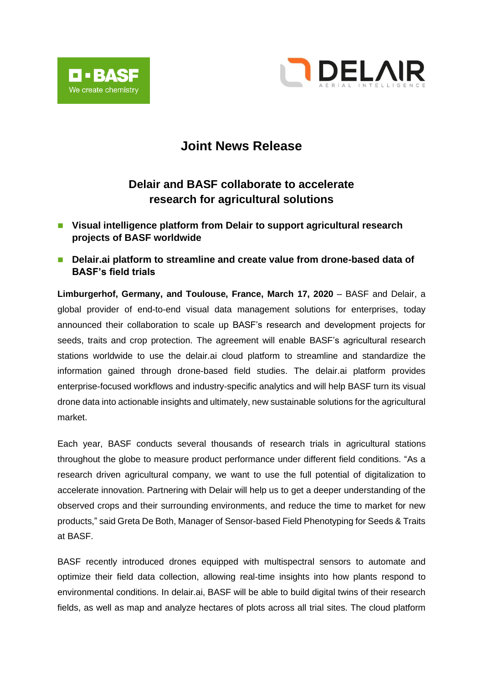



## **Joint News Release**

## **Delair and BASF collaborate to accelerate research for agricultural solutions**

- Visual intelligence platform from Delair to support agricultural research **projects of BASF worldwide**
- Delair.ai platform to streamline and create value from drone-based data of **BASF's field trials**

**Limburgerhof, Germany, and Toulouse, France, March 17, 2020** – BASF and Delair, a global provider of end-to-end visual data management solutions for enterprises, today announced their collaboration to scale up BASF's research and development projects for seeds, traits and crop protection. The agreement will enable BASF's agricultural research stations worldwide to use the delair.ai cloud platform to streamline and standardize the information gained through drone-based field studies. The delair.ai platform provides enterprise-focused workflows and industry-specific analytics and will help BASF turn its visual drone data into actionable insights and ultimately, new sustainable solutions for the agricultural market.

Each year, BASF conducts several thousands of research trials in agricultural stations throughout the globe to measure product performance under different field conditions. "As a research driven agricultural company, we want to use the full potential of digitalization to accelerate innovation. Partnering with Delair will help us to get a deeper understanding of the observed crops and their surrounding environments, and reduce the time to market for new products," said Greta De Both, Manager of Sensor-based Field Phenotyping for Seeds & Traits at BASF.

BASF recently introduced drones equipped with multispectral sensors to automate and optimize their field data collection, allowing real-time insights into how plants respond to environmental conditions. In delair.ai, BASF will be able to build digital twins of their research fields, as well as map and analyze hectares of plots across all trial sites. The cloud platform